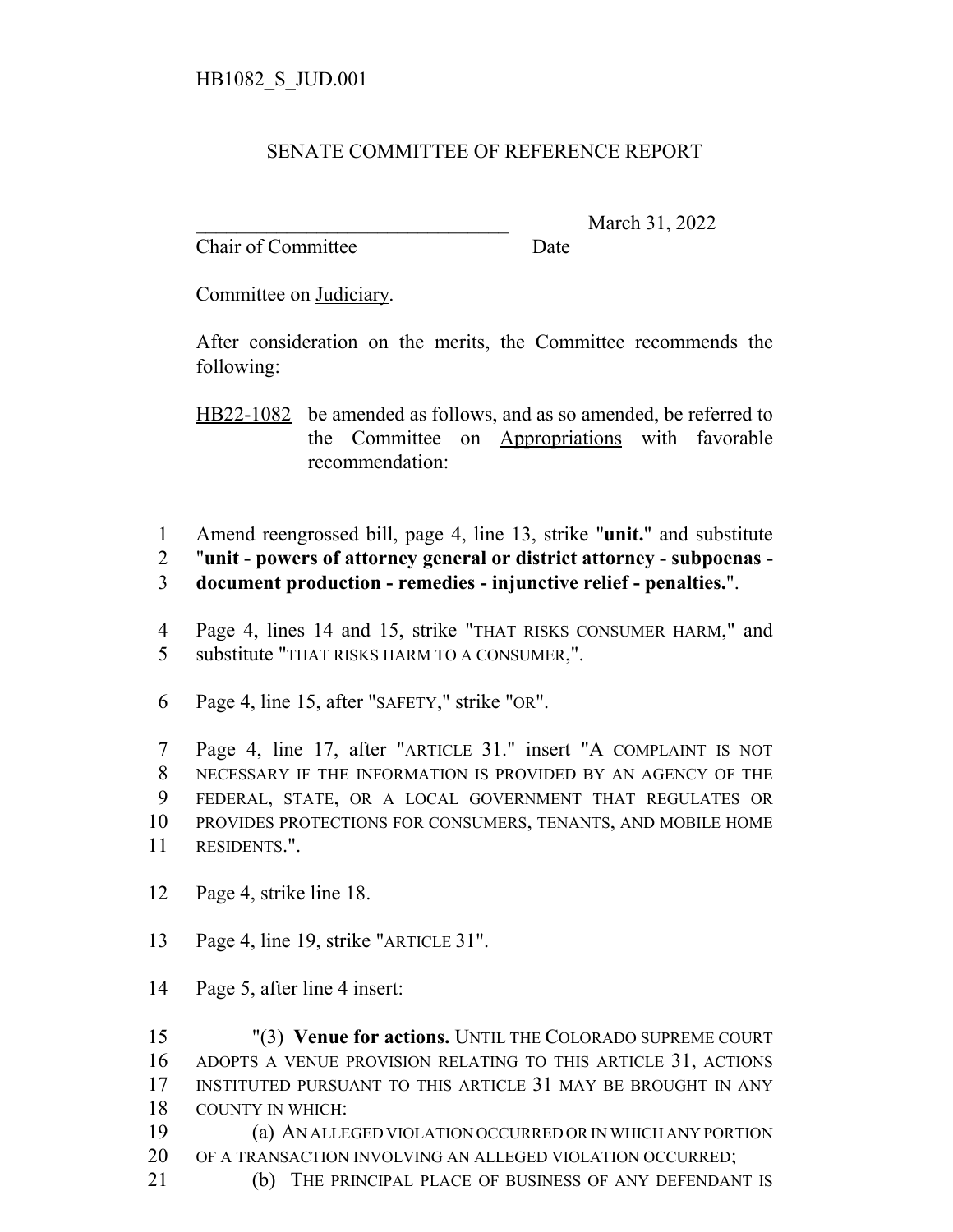## SENATE COMMITTEE OF REFERENCE REPORT

Chair of Committee Date

\_\_\_\_\_\_\_\_\_\_\_\_\_\_\_\_\_\_\_\_\_\_\_\_\_\_\_\_\_\_\_ March 31, 2022

Committee on Judiciary.

After consideration on the merits, the Committee recommends the following:

HB22-1082 be amended as follows, and as so amended, be referred to the Committee on Appropriations with favorable recommendation:

- Amend reengrossed bill, page 4, line 13, strike "**unit.**" and substitute
- "**unit powers of attorney general or district attorney subpoenas -**
- **document production remedies injunctive relief penalties.**".
- Page 4, lines 14 and 15, strike "THAT RISKS CONSUMER HARM," and substitute "THAT RISKS HARM TO A CONSUMER,".
- Page 4, line 15, after "SAFETY," strike "OR".

 Page 4, line 17, after "ARTICLE 31." insert "A COMPLAINT IS NOT NECESSARY IF THE INFORMATION IS PROVIDED BY AN AGENCY OF THE FEDERAL, STATE, OR A LOCAL GOVERNMENT THAT REGULATES OR PROVIDES PROTECTIONS FOR CONSUMERS, TENANTS, AND MOBILE HOME RESIDENTS.".

- Page 4, strike line 18.
- Page 4, line 19, strike "ARTICLE 31".
- Page 5, after line 4 insert:

 "(3) **Venue for actions.** UNTIL THE COLORADO SUPREME COURT ADOPTS A VENUE PROVISION RELATING TO THIS ARTICLE 31, ACTIONS INSTITUTED PURSUANT TO THIS ARTICLE 31 MAY BE BROUGHT IN ANY COUNTY IN WHICH: (a) AN ALLEGED VIOLATION OCCURRED OR IN WHICH ANY PORTION OF A TRANSACTION INVOLVING AN ALLEGED VIOLATION OCCURRED;

(b) THE PRINCIPAL PLACE OF BUSINESS OF ANY DEFENDANT IS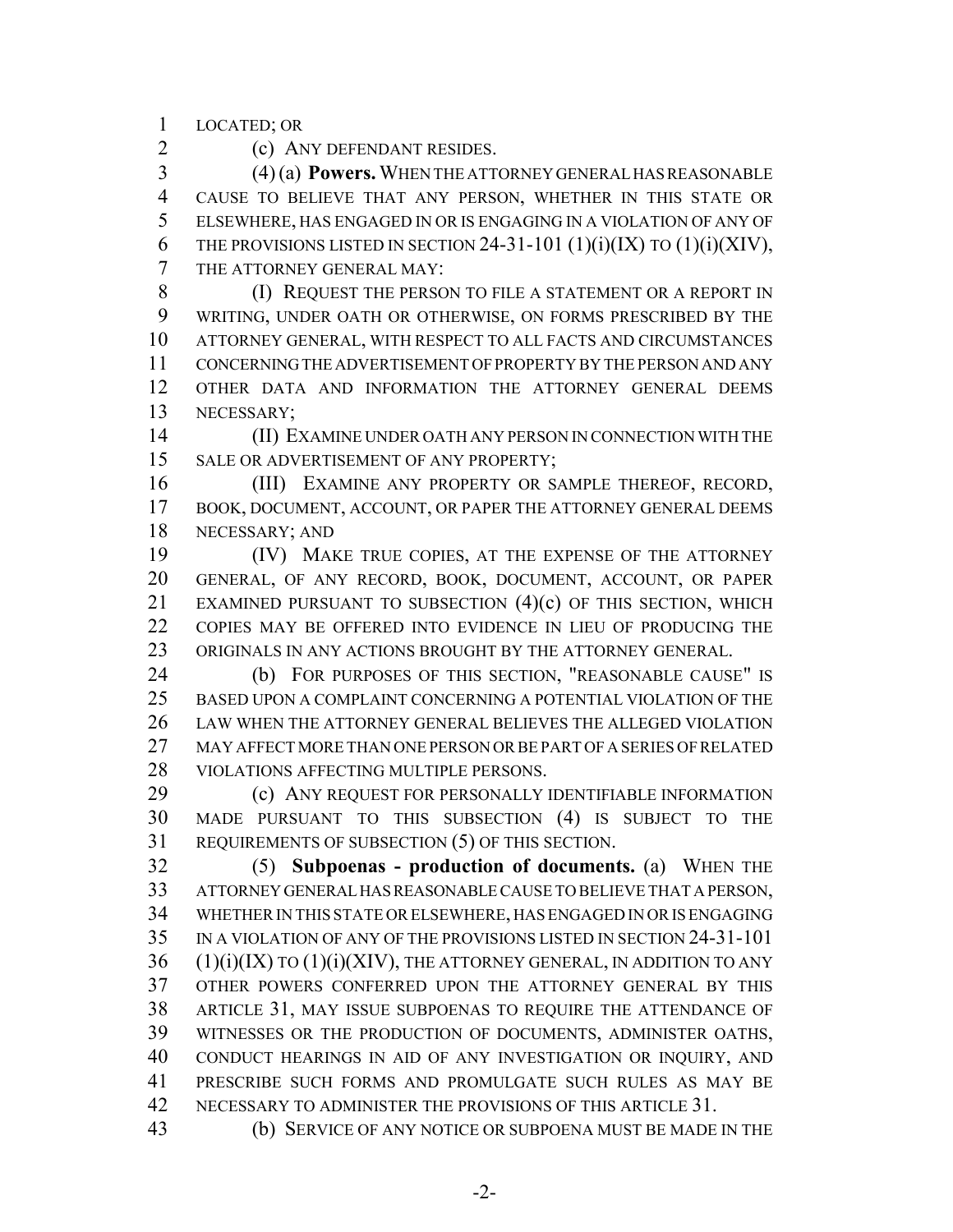LOCATED; OR

(c) ANY DEFENDANT RESIDES.

 (4) (a) **Powers.** WHEN THE ATTORNEY GENERAL HAS REASONABLE CAUSE TO BELIEVE THAT ANY PERSON, WHETHER IN THIS STATE OR ELSEWHERE, HAS ENGAGED IN OR IS ENGAGING IN A VIOLATION OF ANY OF 6 THE PROVISIONS LISTED IN SECTION 24-31-101  $(1)(i)(IX)$  to  $(1)(i)(XIV)$ , THE ATTORNEY GENERAL MAY:

 (I) REQUEST THE PERSON TO FILE A STATEMENT OR A REPORT IN WRITING, UNDER OATH OR OTHERWISE, ON FORMS PRESCRIBED BY THE ATTORNEY GENERAL, WITH RESPECT TO ALL FACTS AND CIRCUMSTANCES CONCERNING THE ADVERTISEMENT OF PROPERTY BY THE PERSON AND ANY OTHER DATA AND INFORMATION THE ATTORNEY GENERAL DEEMS NECESSARY;

 (II) EXAMINE UNDER OATH ANY PERSON IN CONNECTION WITH THE 15 SALE OR ADVERTISEMENT OF ANY PROPERTY;

 (III) EXAMINE ANY PROPERTY OR SAMPLE THEREOF, RECORD, 17 BOOK, DOCUMENT, ACCOUNT, OR PAPER THE ATTORNEY GENERAL DEEMS NECESSARY; AND

 (IV) MAKE TRUE COPIES, AT THE EXPENSE OF THE ATTORNEY GENERAL, OF ANY RECORD, BOOK, DOCUMENT, ACCOUNT, OR PAPER 21 EXAMINED PURSUANT TO SUBSECTION (4)(c) OF THIS SECTION, WHICH COPIES MAY BE OFFERED INTO EVIDENCE IN LIEU OF PRODUCING THE ORIGINALS IN ANY ACTIONS BROUGHT BY THE ATTORNEY GENERAL.

 (b) FOR PURPOSES OF THIS SECTION, "REASONABLE CAUSE" IS BASED UPON A COMPLAINT CONCERNING A POTENTIAL VIOLATION OF THE LAW WHEN THE ATTORNEY GENERAL BELIEVES THE ALLEGED VIOLATION MAY AFFECT MORE THAN ONE PERSON OR BE PART OF A SERIES OF RELATED VIOLATIONS AFFECTING MULTIPLE PERSONS.

 (c) ANY REQUEST FOR PERSONALLY IDENTIFIABLE INFORMATION MADE PURSUANT TO THIS SUBSECTION (4) IS SUBJECT TO THE REQUIREMENTS OF SUBSECTION (5) OF THIS SECTION.

 (5) **Subpoenas - production of documents.** (a) WHEN THE ATTORNEY GENERAL HAS REASONABLE CAUSE TO BELIEVE THAT A PERSON, WHETHER IN THIS STATE OR ELSEWHERE, HAS ENGAGED IN OR IS ENGAGING IN A VIOLATION OF ANY OF THE PROVISIONS LISTED IN SECTION 24-31-101 (1)(i)(IX) TO (1)(i)(XIV), THE ATTORNEY GENERAL, IN ADDITION TO ANY OTHER POWERS CONFERRED UPON THE ATTORNEY GENERAL BY THIS ARTICLE 31, MAY ISSUE SUBPOENAS TO REQUIRE THE ATTENDANCE OF WITNESSES OR THE PRODUCTION OF DOCUMENTS, ADMINISTER OATHS, CONDUCT HEARINGS IN AID OF ANY INVESTIGATION OR INQUIRY, AND PRESCRIBE SUCH FORMS AND PROMULGATE SUCH RULES AS MAY BE 42 NECESSARY TO ADMINISTER THE PROVISIONS OF THIS ARTICLE 31.

(b) SERVICE OF ANY NOTICE OR SUBPOENA MUST BE MADE IN THE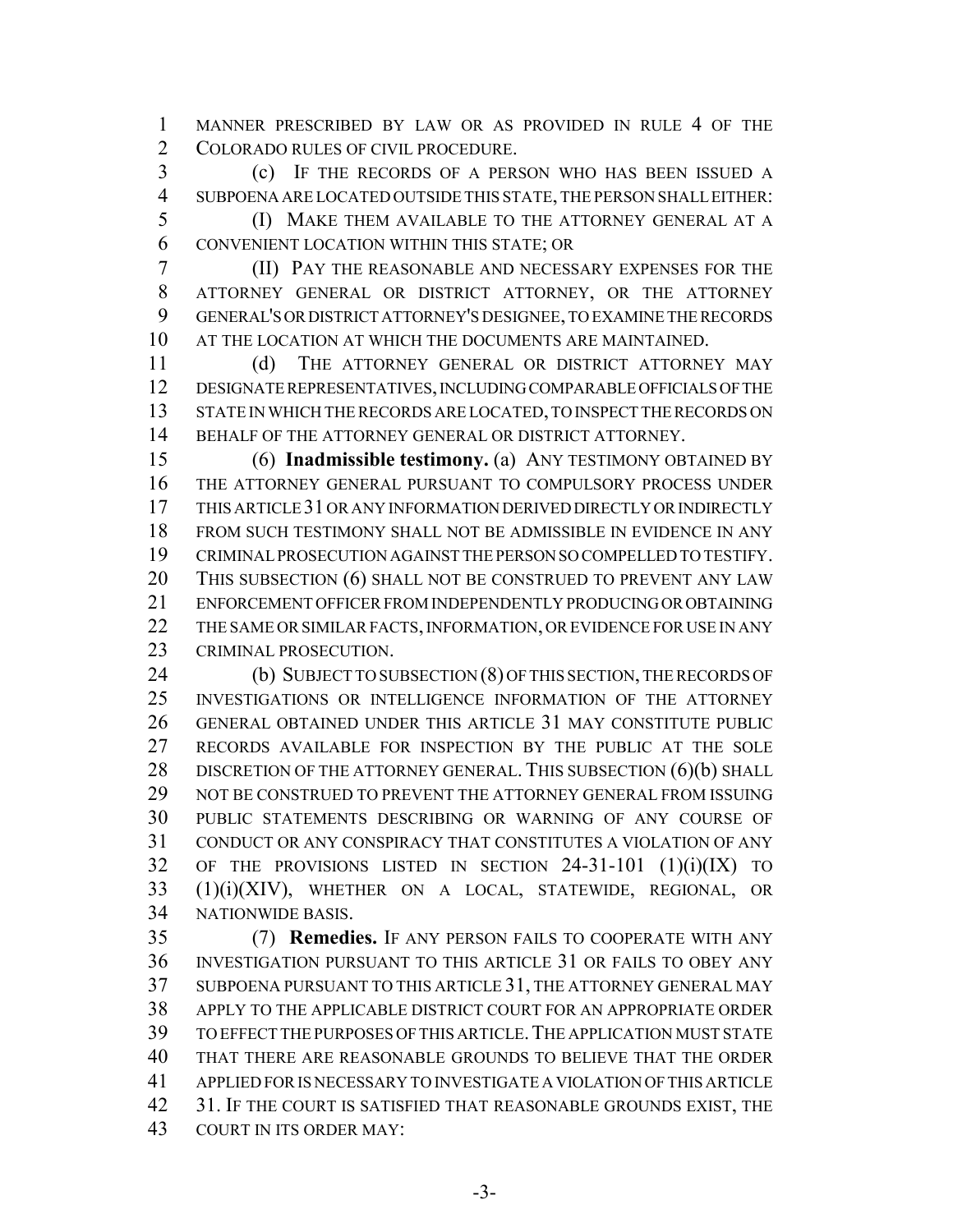MANNER PRESCRIBED BY LAW OR AS PROVIDED IN RULE 4 OF THE 2 COLORADO RULES OF CIVIL PROCEDURE.

 (c) IF THE RECORDS OF A PERSON WHO HAS BEEN ISSUED A SUBPOENA ARE LOCATED OUTSIDE THIS STATE, THE PERSON SHALL EITHER:

 (I) MAKE THEM AVAILABLE TO THE ATTORNEY GENERAL AT A CONVENIENT LOCATION WITHIN THIS STATE; OR

 (II) PAY THE REASONABLE AND NECESSARY EXPENSES FOR THE ATTORNEY GENERAL OR DISTRICT ATTORNEY, OR THE ATTORNEY GENERAL'S OR DISTRICT ATTORNEY'S DESIGNEE, TO EXAMINE THE RECORDS AT THE LOCATION AT WHICH THE DOCUMENTS ARE MAINTAINED.

11 (d) THE ATTORNEY GENERAL OR DISTRICT ATTORNEY MAY DESIGNATE REPRESENTATIVES, INCLUDING COMPARABLE OFFICIALS OF THE STATE IN WHICH THE RECORDS ARE LOCATED, TO INSPECT THE RECORDS ON 14 BEHALF OF THE ATTORNEY GENERAL OR DISTRICT ATTORNEY.

 (6) **Inadmissible testimony.** (a) ANY TESTIMONY OBTAINED BY THE ATTORNEY GENERAL PURSUANT TO COMPULSORY PROCESS UNDER THIS ARTICLE 31 OR ANY INFORMATION DERIVED DIRECTLY OR INDIRECTLY FROM SUCH TESTIMONY SHALL NOT BE ADMISSIBLE IN EVIDENCE IN ANY CRIMINAL PROSECUTION AGAINST THE PERSON SO COMPELLED TO TESTIFY. THIS SUBSECTION (6) SHALL NOT BE CONSTRUED TO PREVENT ANY LAW ENFORCEMENT OFFICER FROM INDEPENDENTLY PRODUCING OR OBTAINING 22 THE SAME OR SIMILAR FACTS, INFORMATION, OR EVIDENCE FOR USE IN ANY CRIMINAL PROSECUTION.

 (b) SUBJECT TO SUBSECTION (8) OF THIS SECTION, THE RECORDS OF INVESTIGATIONS OR INTELLIGENCE INFORMATION OF THE ATTORNEY GENERAL OBTAINED UNDER THIS ARTICLE 31 MAY CONSTITUTE PUBLIC RECORDS AVAILABLE FOR INSPECTION BY THE PUBLIC AT THE SOLE 28 DISCRETION OF THE ATTORNEY GENERAL. THIS SUBSECTION (6)(b) SHALL NOT BE CONSTRUED TO PREVENT THE ATTORNEY GENERAL FROM ISSUING PUBLIC STATEMENTS DESCRIBING OR WARNING OF ANY COURSE OF CONDUCT OR ANY CONSPIRACY THAT CONSTITUTES A VIOLATION OF ANY OF THE PROVISIONS LISTED IN SECTION 24-31-101 (1)(i)(IX) TO (1)(i)(XIV), WHETHER ON A LOCAL, STATEWIDE, REGIONAL, OR NATIONWIDE BASIS.

 (7) **Remedies.** IF ANY PERSON FAILS TO COOPERATE WITH ANY INVESTIGATION PURSUANT TO THIS ARTICLE 31 OR FAILS TO OBEY ANY SUBPOENA PURSUANT TO THIS ARTICLE 31, THE ATTORNEY GENERAL MAY APPLY TO THE APPLICABLE DISTRICT COURT FOR AN APPROPRIATE ORDER TO EFFECT THE PURPOSES OF THIS ARTICLE.THE APPLICATION MUST STATE THAT THERE ARE REASONABLE GROUNDS TO BELIEVE THAT THE ORDER APPLIED FOR IS NECESSARY TO INVESTIGATE A VIOLATION OF THIS ARTICLE 31. IF THE COURT IS SATISFIED THAT REASONABLE GROUNDS EXIST, THE COURT IN ITS ORDER MAY: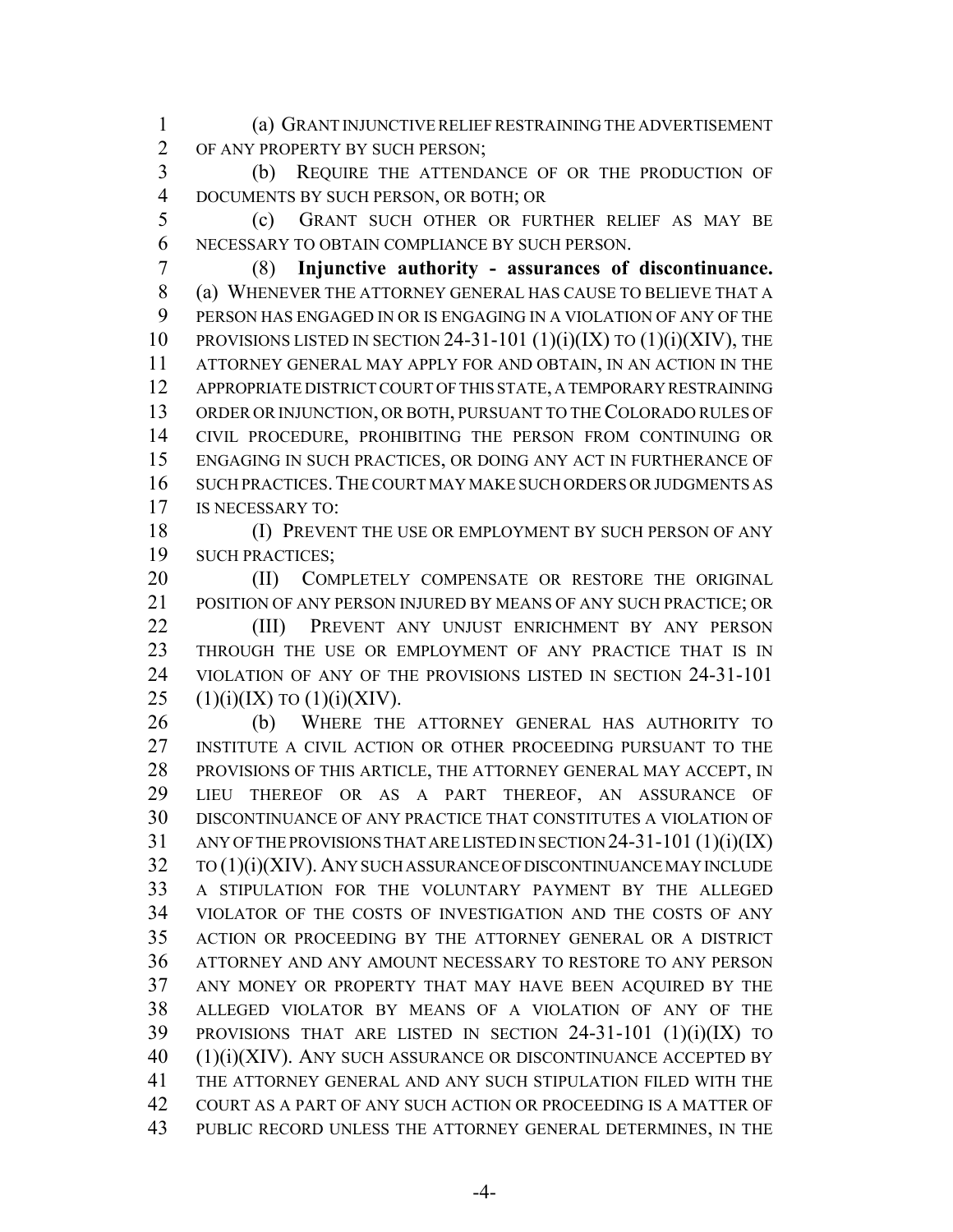(a) GRANT INJUNCTIVE RELIEF RESTRAINING THE ADVERTISEMENT OF ANY PROPERTY BY SUCH PERSON;

 (b) REQUIRE THE ATTENDANCE OF OR THE PRODUCTION OF DOCUMENTS BY SUCH PERSON, OR BOTH; OR

 (c) GRANT SUCH OTHER OR FURTHER RELIEF AS MAY BE NECESSARY TO OBTAIN COMPLIANCE BY SUCH PERSON.

 (8) **Injunctive authority - assurances of discontinuance.** (a) WHENEVER THE ATTORNEY GENERAL HAS CAUSE TO BELIEVE THAT A PERSON HAS ENGAGED IN OR IS ENGAGING IN A VIOLATION OF ANY OF THE 10 PROVISIONS LISTED IN SECTION 24-31-101  $(1)(i)(IX)$  to  $(1)(i)(XIV)$ , the ATTORNEY GENERAL MAY APPLY FOR AND OBTAIN, IN AN ACTION IN THE APPROPRIATE DISTRICT COURT OF THIS STATE, A TEMPORARY RESTRAINING ORDER OR INJUNCTION, OR BOTH, PURSUANT TO THE COLORADO RULES OF CIVIL PROCEDURE, PROHIBITING THE PERSON FROM CONTINUING OR ENGAGING IN SUCH PRACTICES, OR DOING ANY ACT IN FURTHERANCE OF SUCH PRACTICES.THE COURT MAY MAKE SUCH ORDERS OR JUDGMENTS AS IS NECESSARY TO:

18 (I) PREVENT THE USE OR EMPLOYMENT BY SUCH PERSON OF ANY SUCH PRACTICES;

20 (II) COMPLETELY COMPENSATE OR RESTORE THE ORIGINAL POSITION OF ANY PERSON INJURED BY MEANS OF ANY SUCH PRACTICE; OR

 (III) PREVENT ANY UNJUST ENRICHMENT BY ANY PERSON THROUGH THE USE OR EMPLOYMENT OF ANY PRACTICE THAT IS IN VIOLATION OF ANY OF THE PROVISIONS LISTED IN SECTION 24-31-101 25 (1)(i)(IX) TO (1)(i)(XIV).

 (b) WHERE THE ATTORNEY GENERAL HAS AUTHORITY TO INSTITUTE A CIVIL ACTION OR OTHER PROCEEDING PURSUANT TO THE PROVISIONS OF THIS ARTICLE, THE ATTORNEY GENERAL MAY ACCEPT, IN LIEU THEREOF OR AS A PART THEREOF, AN ASSURANCE OF DISCONTINUANCE OF ANY PRACTICE THAT CONSTITUTES A VIOLATION OF ANY OF THE PROVISIONS THAT ARE LISTED IN SECTION 24-31-101 (1)(i)(IX) TO (1)(i)(XIV). ANY SUCH ASSURANCE OF DISCONTINUANCE MAY INCLUDE A STIPULATION FOR THE VOLUNTARY PAYMENT BY THE ALLEGED VIOLATOR OF THE COSTS OF INVESTIGATION AND THE COSTS OF ANY ACTION OR PROCEEDING BY THE ATTORNEY GENERAL OR A DISTRICT ATTORNEY AND ANY AMOUNT NECESSARY TO RESTORE TO ANY PERSON ANY MONEY OR PROPERTY THAT MAY HAVE BEEN ACQUIRED BY THE ALLEGED VIOLATOR BY MEANS OF A VIOLATION OF ANY OF THE PROVISIONS THAT ARE LISTED IN SECTION 24-31-101 (1)(i)(IX) TO (1)(i)(XIV). ANY SUCH ASSURANCE OR DISCONTINUANCE ACCEPTED BY THE ATTORNEY GENERAL AND ANY SUCH STIPULATION FILED WITH THE COURT AS A PART OF ANY SUCH ACTION OR PROCEEDING IS A MATTER OF PUBLIC RECORD UNLESS THE ATTORNEY GENERAL DETERMINES, IN THE